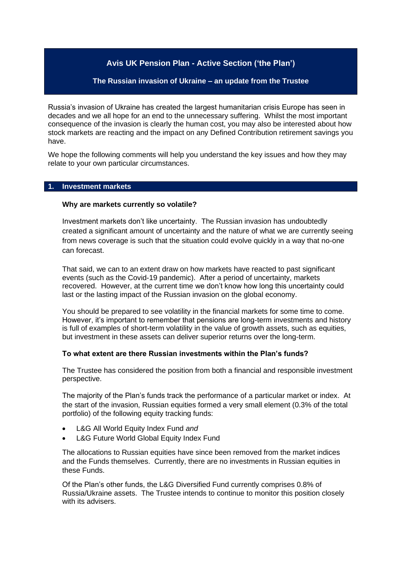# **Avis UK Pension Plan - Active Section ('the Plan')**

### **The Russian invasion of Ukraine – an update from the Trustee**

Russia's invasion of Ukraine has created the largest humanitarian crisis Europe has seen in decades and we all hope for an end to the unnecessary suffering. Whilst the most important consequence of the invasion is clearly the human cost, you may also be interested about how stock markets are reacting and the impact on any Defined Contribution retirement savings you have.

We hope the following comments will help you understand the key issues and how they may relate to your own particular circumstances.

# **1. Investment markets**

#### **Why are markets currently so volatile?**

Investment markets don't like uncertainty. The Russian invasion has undoubtedly created a significant amount of uncertainty and the nature of what we are currently seeing from news coverage is such that the situation could evolve quickly in a way that no-one can forecast.

That said, we can to an extent draw on how markets have reacted to past significant events (such as the Covid-19 pandemic). After a period of uncertainty, markets recovered. However, at the current time we don't know how long this uncertainty could last or the lasting impact of the Russian invasion on the global economy.

You should be prepared to see volatility in the financial markets for some time to come. However, it's important to remember that pensions are long-term investments and history is full of examples of short-term volatility in the value of growth assets, such as equities, but investment in these assets can deliver superior returns over the long-term.

#### **To what extent are there Russian investments within the Plan's funds?**

The Trustee has considered the position from both a financial and responsible investment perspective.

The majority of the Plan's funds track the performance of a particular market or index. At the start of the invasion. Russian equities formed a very small element (0.3% of the total portfolio) of the following equity tracking funds:

- L&G All World Equity Index Fund *and*
- L&G Future World Global Equity Index Fund

The allocations to Russian equities have since been removed from the market indices and the Funds themselves. Currently, there are no investments in Russian equities in these Funds.

Of the Plan's other funds, the L&G Diversified Fund currently comprises 0.8% of Russia/Ukraine assets. The Trustee intends to continue to monitor this position closely with its advisers.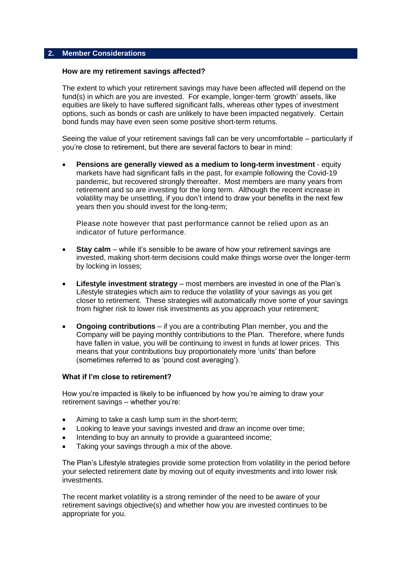### **2. Member Considerations**

#### **How are my retirement savings affected?**

The extent to which your retirement savings may have been affected will depend on the fund(s) in which are you are invested. For example, longer-term 'growth' assets, like equities are likely to have suffered significant falls, whereas other types of investment options, such as bonds or cash are unlikely to have been impacted negatively. Certain bond funds may have even seen some positive short-term returns.

Seeing the value of your retirement savings fall can be very uncomfortable – particularly if you're close to retirement, but there are several factors to bear in mind:

• **Pensions are generally viewed as a medium to long-term investment** - equity markets have had significant falls in the past, for example following the Covid-19 pandemic, but recovered strongly thereafter. Most members are many years from retirement and so are investing for the long term. Although the recent increase in volatility may be unsettling, if you don't intend to draw your benefits in the next few years then you should invest for the long-term;

Please note however that past performance cannot be relied upon as an indicator of future performance.

- **Stav calm** while it's sensible to be aware of how your retirement savings are invested, making short-term decisions could make things worse over the longer-term by locking in losses;
- **Lifestyle investment strategy** most members are invested in one of the Plan's Lifestyle strategies which aim to reduce the volatility of your savings as you get closer to retirement. These strategies will automatically move some of your savings from higher risk to lower risk investments as you approach your retirement;
- **Ongoing contributions**  if you are a contributing Plan member, you and the Company will be paying monthly contributions to the Plan. Therefore, where funds have fallen in value, you will be continuing to invest in funds at lower prices. This means that your contributions buy proportionately more 'units' than before (sometimes referred to as 'pound cost averaging').

#### **What if I'm close to retirement?**

How you're impacted is likely to be influenced by how you're aiming to draw your retirement savings – whether you're:

- Aiming to take a cash lump sum in the short-term;
- Looking to leave your savings invested and draw an income over time;
- Intending to buy an annuity to provide a quaranteed income:
- Taking your savings through a mix of the above.

The Plan's Lifestyle strategies provide some protection from volatility in the period before your selected retirement date by moving out of equity investments and into lower risk investments.

The recent market volatility is a strong reminder of the need to be aware of your retirement savings objective(s) and whether how you are invested continues to be appropriate for you.